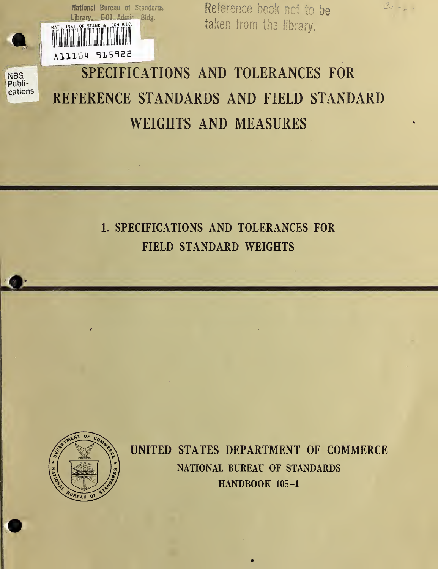Reference book net to be taken from the library.



# SPECIFICATIONS AND TOLERANCES FOR REFERENCE STANDARDS AND FIELD STANDARD WEIGHTS AND MEASURES

National Bureau of Standards ihrary, F-01 Admin Bldg. OF STAND & TECH R.I.C.

A11104 915922

NBS<br>Publications

## 1. SPECIFICATIONS AND TOLERANCES FOR FIELD STANDARD WEIGHTS



UNITED STATES DEPARTMENT OF COMMERCE NATIONAL BUREAU OF STANDARDS HANDBOOK 105-1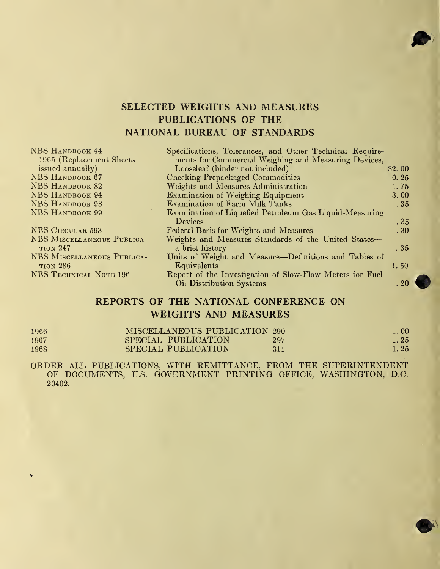

### SELECTED WEIGHTS AND MEASURES PUBLICATIONS OF THE NATIONAL BUREAU OF STANDARDS

| <b>NBS HANDBOOK 44</b>     | Specifications, Tolerances, and Other Technical Require- |        |
|----------------------------|----------------------------------------------------------|--------|
| 1965 (Replacement Sheets)  | ments for Commercial Weighing and Measuring Devices,     |        |
| issued annually)           | Looseleaf (binder not included)                          | \$2.00 |
| NBS HANDBOOK 67            | <b>Checking Prepackaged Commodities</b>                  | 0.25   |
| <b>NBS HANDBOOK 82</b>     | Weights and Measures Administration                      | 1.75   |
| NBS HANDBOOK 94            | Examination of Weighing Equipment                        | 3.00   |
| NBS HANDBOOK 98            | <b>Examination of Farm Milk Tanks</b>                    | .35    |
| NBS HANDBOOK 99            | Examination of Liquefied Petroleum Gas Liquid-Measuring  |        |
|                            | <b>Devices</b>                                           | .35    |
| NBS CIRCULAR 593           | Federal Basis for Weights and Measures                   | .30    |
| NBS MISCELLANEOUS PUBLICA- | Weights and Measures Standards of the United States—     |        |
| <b>TION 247</b>            | a brief history                                          | .35    |
| NBS MISCELLANEOUS PUBLICA- | Units of Weight and Measure—Definitions and Tables of    |        |
| <b>TION 286</b>            | Equivalents                                              | 1.50   |
| NBS TECHNICAL NOTE 196     | Report of the Investigation of Slow-Flow Meters for Fuel |        |
|                            | <b>Oil Distribution Systems</b>                          | .20    |

### REPORTS OF THE NATIONAL CONFERENCE ON WEIGHTS AND MEASURES

| 1966 | MISCELLANEOUS PUBLICATION 290 |     | 1.00- |
|------|-------------------------------|-----|-------|
| 1967 | SPECIAL PUBLICATION           | 297 | 1.25  |
| 1968 | SPECIAL PUBLICATION           | 311 | 1.25  |

ORDER ALL PUBLICATIONS, WITH REMITTANCE, FROM THE SUPERINTENDENT OF DOCUMENTS, U.S. GOVERNMENT PRINTING OFFICE, WASHINGTON, D.C. 20402.

 $\bullet$ 

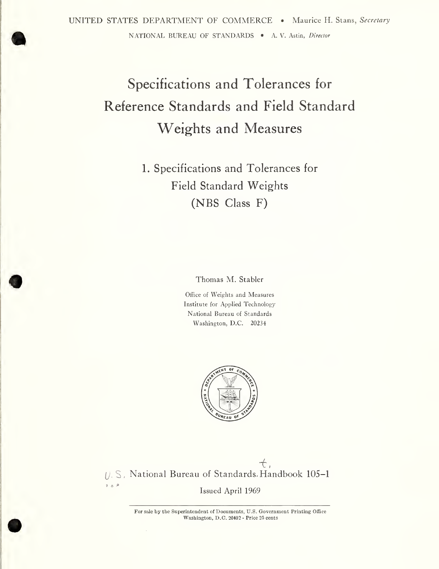UNITED STATES DEPARTMENT OF COMMERCE . Maurice H. Stans, Secretary NATIONAL BUREAU OF STANDARDS . A. V. Astin, Director

## Specifications and Tolerances for Reference Standards and Field Standard Weights and Measures

1. Specifications and Tolerances for Field Standard Weights (NBS Class F)

Thomas M. Stabler

Office of Weights and Measures Institute for Applied Technology National Bureau of Standards Washington, D.C. 20234



 $+$ . (J. S, National Bureau of Standards, Handbook 105-1  $100$ Issued April 1969

For sale by the Superintendent of Documents, U.S. Government Printing Office Washington, D.C. 20402 - Price 25 cents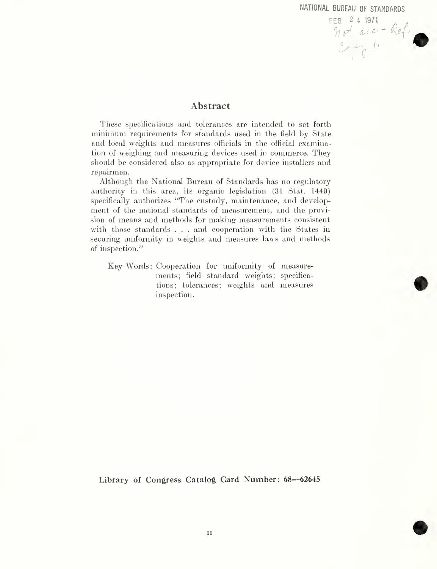NATIONAL BUREAU OF STANDARDS

FEB  $2$  4 1971

n st, acc. - Ref,<br>Compt, 1,

#### Abstract

These specifications and tolerances are intended to set forth minimum requirements for standards used in the field by State and local weights and measures officials in the official examination of weighing and measuring devices used in commerce. They should be considered also as appropriate for device installers and repairmen.

Although the National Bureau of Standards has no regulatory authority in this area, its organic legislation (31 Stat. 1449) specifically authorizes "The custody, maintenance, and development of the national standards of measurement, and the provision of means and methods for making measurements consistent with those standards . . . and cooperation with the States in securing uniformity in weights and measures laws and methods of inspection."

Key Words: Cooperation for uniformity of measurements; field standard weights; specifications; tolerances; weights and measures inspection.

Library of Congress Catalog Card Number: 68—62645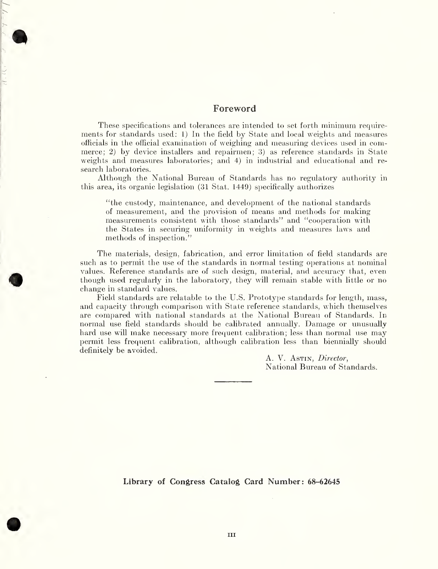#### Foreword

These specifications and tolerances are intended to set forth minimum require ments for standards used: 1) In the field by State and local weights and measures officials in the official examination of weighing and measuring devices used in com merce; 2) by device installers and repairmen; 3) as reference standards in State weights and measures laboratories; and 4) in industrial and educational and research laboratories.

Although the National Bureau of Standards has no regulatory authority in this area, its organic legislation (31 Stat. 1449) specifically authorizes

"the custody, maintenance, and development of the national standards of measurement, and the provision of means and methods for making measurements consistent with those standards" and "cooperation with the States in securing uniformity in weights and measures laws and methods of inspection."

The materials, design, fabrication, and error limitation of field standards are such as to permit the use of the standards in normal testing operations at nominal values. Reference standards are of such design, material, and accuracy that, even though used regularly in the laboratory, they will remain stable with little or no change in standard values.

Field standards are relatable to the U.S. Prototype standards for length, mass, and capacity through comparison with State reference standards, which themselves are compared with national standards at the National Bureau of Standards. In normal use field standards should be calibrated annually. Damage or unusually hard use will make necessary more frequent calibration; less than normal use may permit less frequent calibration, although calibration less than biennially should definitely be avoided.

> A. V. Astin, Director, National Bureau of Standards.

Library of Congress Catalog Card Number: 68-62645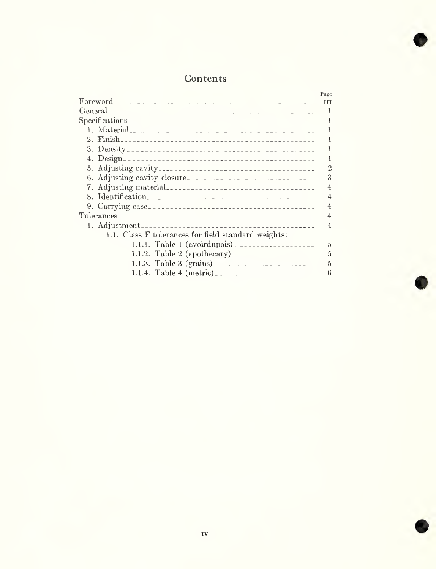## **Contents**

| Contents                                                     |                |
|--------------------------------------------------------------|----------------|
|                                                              |                |
|                                                              | Page           |
|                                                              | H              |
|                                                              | ı              |
|                                                              | ı              |
|                                                              | 1              |
|                                                              | 1              |
|                                                              | 1              |
|                                                              | ì              |
|                                                              | $\overline{2}$ |
| 6. Adjusting cavity closure--------------------------------- | 3              |
|                                                              | 4              |
|                                                              | 4              |
|                                                              | 4              |
|                                                              | 4              |
|                                                              | 4              |
| 1.1. Class F tolerances for field standard weights:          |                |
| 1.1.1. Table 1 (avoirdupois)                                 | 5              |
|                                                              | 5              |
|                                                              | 5              |
|                                                              | 6              |
|                                                              |                |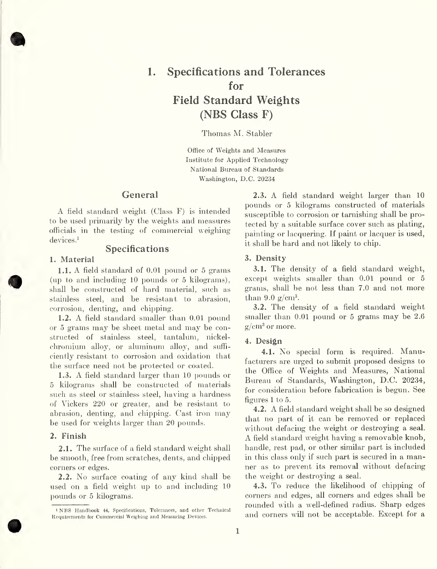## <sup>1</sup>. Specifications and Tolerances for Field Standard Weights (NBS Class F)

Thomas M. Stabler

Office of Weights and Measures Institute for Applied Technology-National Bureau of Standards Washington, D.C. 20234

#### General

A field standard weight (Class F) is intended to be used primarily by the weights and measures officials in the testing of commercial weighing devices.<sup>1</sup>

#### Specifications

#### 1. Material

<sup>1</sup>.1. <sup>A</sup> field standard of 0.01 pound or <sup>5</sup> grams (up to and including 10 pounds or 5 kilograms), shall be constructed of hard material, such as stainless steel, and be resistant to abrasion, corrosion, denting, and chipping.

1.2. A field standard smaller than 0.01 pound or 5 grams may be sheet metal and may be constructed of stainless steel, tantalum, nickelchromium alloy, or aluminum alloy, and sufficiently resistant to corrosion and oxidation that the surface need not be protected or coated.

1.3. A field standard larger than 10 pounds or 5 kilograms shall be constructed of materials such as steel or stainless steel, having a hardness of Vickers 220 or greater, and be resistant to abrasion, denting, and chipping. Cast iron may be used for weights larger than 20 pounds.

#### 2. Finish

2.1. The surface of a field standard weight shall be smooth, free from scratches, dents, and chipped corners or edges.

2.2. No surface coating of any kind shall be used on a field weight up to and including 10 pounds or 5 kilograms.

2.3. A field standard weight larger than <sup>10</sup> pounds or 5 kilograms constructed of materials susceptible to corrosion or tarnishing shall be protected by a suitable surface cover such as plating, painting or lacquering. If paint or lacquer is used, it shall be hard and not likely to chip.

#### 3. Density

3.1. The density of a field standard weight, except weights smaller than 0.01 pound or 5 grams, shall be not less than 7.0 and not more than 9.0  $g/cm^3$ .

3.2. The density of a field standard weight smaller than 0.01 pound or 5 grams may be 2.6  $g/cm<sup>3</sup>$  or more.

#### 4. Design

4.1. No special form is required. Manufacturers are urged to submit proposed designs to the Office of Weights and Measures, National Bureau of Standards, Washington, D.C. 20234, for consideration before fabrication is begun. See figures <sup>1</sup> to 5.

4.2. A field standard weight shall be so designed that no part of it can be removed or replaced without defacing the weight or destroying a seal. A field standard weight having a removable knob, handle, rest pad, or other similar part is included in this class only if such part is secured in a manner as to prevent its removal without defacing the weight or destroying a seal.

4.3. To reduce the likelihood of chipping of corners and edges, all corners and edges shall be rounded with a well-defined radius. Sharp edges and corners will not be acceptable. Except for a

<sup>1</sup> NBS Handbook 44, Specifications, Tolerances, and other Technical Requirements for Commercial Weighing and Measuring Devices.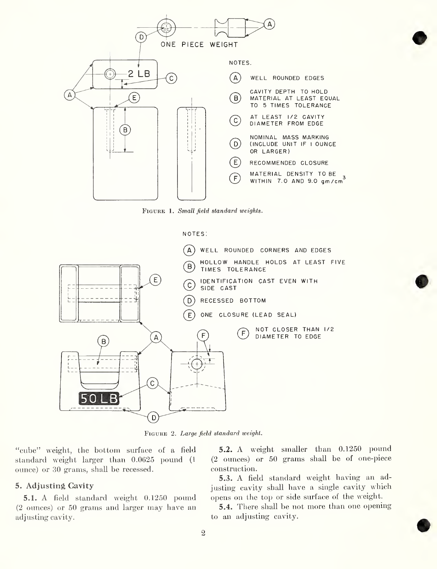

Figure 1. Small field standard weights.

#### notes:



Figure 2. Large field standard weight.

"cube" weight, the bottom surface of a field standard weight larger than 0.0625 pound (1 ounce) or 30 grams, shall be recessed.

#### 5. Adjusting Cavity

5.1. A field standard weight 0.1250 pound (2 ounces) or 50 grams and larger may have an adjusting cavity.

5.2. A weight smaller than 0.1250 pound  $(2 \t{on}{\text{mees}})$  or  $50 \t{grams}$  shall be of one-piece construction.

5.3. A field standard weight having an adjusting cavity shall have a single cavity which opens on the top or side surface of the weight.

5.4. There shall be not more than one opening to an adjusting cavity.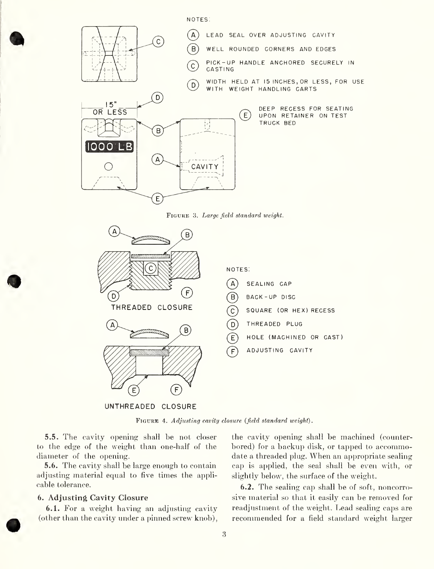





UNTHREADED CLOSURE

Figure 4. Adjusting cavity closure (field standard weight).

5.5. The cavity opening shall be not closer to the edge of the weight than one-half of the diameter of the opening.

5.6. The cavity shall be large enough to contain adjusting material equal to five times the applicable tolerance.

#### 6. Adjusting Cavity Closure

6.1. For a weight having an adjusting cavity (other than the cavity under a pinned screw knob), the cavity opening shall be machined (counterbored) for a backup disk, or tapped to accommodate a threaded plug. When an appropriate sealing cap is applied, the seal shall be even with, or slightly below, the surface of the weight.

**6.2.** The sealing cap shall be of soft, noncorrosive material so that it easily can be removed for readjustment of the weight. Lead sealing caps are recommended for a field standard weight larger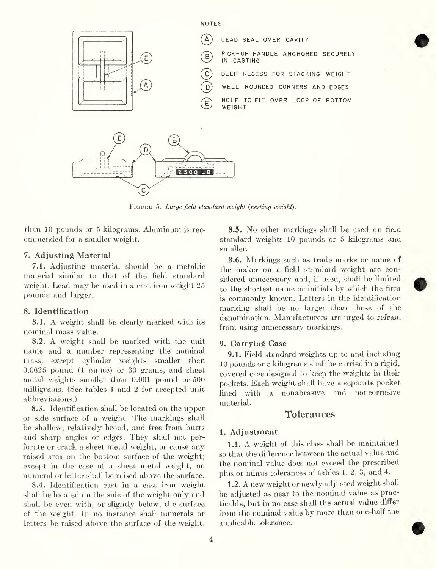

FIGURE 5. Large field standard weight (nesting weight).

than 10 pounds or 5 kilograms. Aluminum is recommended for a smaller weight.

#### 7. Adjusting Material

7.1. Adjusting material should be a metallic material similar to that of the field standard weight. Lead may be used in a cast iron weight 25 pounds and larger.

#### 8. Identification

8.1. A weight shall be clearly marked with its nominal mass value.

8.2. A weight shall be marked with the unit name and a number representing the nominal mass, except cylinder weights smaller than 0.0625 pound (1 ounce) or 30 grams, and sheetmetal weights smaller than 0.001 pound or 500 milligrams. (See tables <sup>1</sup> and 2 for accepted unitabbreviations.)

8.3. Identification shall be located on the upper or side surface of a weight. The markings shall be shallow, relatively broad, and free from burrs and sharp angles or edges. They shall not perforate or crack a sheet metal weight, or cause any raised area on the bottom surface of the weight; except in the case of a sheet metal weight, no numeral or letter shall be raised above the surface.

8.4. Identification cast in a cast iron weight shall be located on the side of the weight only and shall be even with, or slightly below, the surface of the weight. In no instance shall numerals or letters be raised above the surface of the weight.

8.5. No other markings shall be used on field standard weights 10 pounds or 5 kilograms and smaller.

8.6. Markings such as trade marks or name of the maker on a field standard weight are considered unnecessary and, if used, shall be limited to the shortest name or initials by which the firm is commonly known. Letters in the identification marking shall be no larger than those of the denomination. Manufacturers are urged to refrain from using unnecessary markings.

#### 9.Carrying Case

9.1. Field standard weights up to and including 10 pounds or 5 kilograms shall be carried in a rigid, covered case designed to keep the weights in their pockets. Each weight shall have a separate pocket lined with a nonabrasive and noncorrosive material.

#### Tolerances

#### 1. Adjustment

<sup>1</sup>.1. <sup>A</sup> weight of this class shall be maintained so that the difference between the actual value and the nominal value does not exceed the prescribed plus or minus tolerances of tables 1, 2, 3, and 4.

1.2. A new weight or newly adjusted weight shall be adjusted as near to the nominal value as practicable, but in no case shall the actual value differ from the nominal value by more than one-half the applicable tolerance.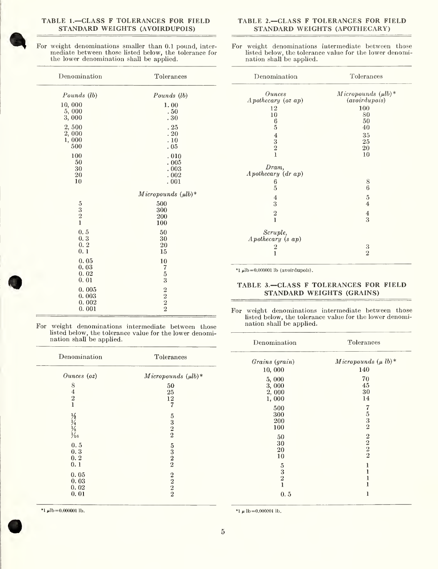#### TABLE 1.—CLASS F TOLERANCES FOR FIELD STANDARD WEIGHTS (AVOIRDUPOIS)

For weight denominations smaller than 0.1 pound, intermediate between those listed below, the tolerance for the lower denomination shall be applied.

| TABLE 2.-CLASS F TOLERANCES FOR FIELD |  |  |  |
|---------------------------------------|--|--|--|
| STANDARD WEIGHTS (APOTHECARY)         |  |  |  |

For weight denominations intermediate between those listed below, the tolerance value for the lower denomination shall be applied.

| Denomination                     | Tolerances                                    |
|----------------------------------|-----------------------------------------------|
| Pounds (lb)                      | Pounds (lb)                                   |
| 10,000<br>5,000<br>3,000         | 1.00<br>.50<br>.30                            |
| 2,500<br>2,000<br>1,000<br>500   | .25<br>. 20<br>.10<br>.05                     |
| 100<br>50<br>30<br>20<br>10      | .010<br>.005<br>.003<br>.002<br>.001          |
|                                  | $Micropounds (\mu lb)^*$                      |
| $\frac{5}{3}$                    | 500<br>300<br>200<br>100                      |
| 0.5<br>0.3<br>0.2<br>0.1         | 50<br>30<br>20<br>15                          |
| 0.05<br>0.03<br>0.02<br>0.01     | 10<br>7<br>$\frac{5}{3}$                      |
| 0.005<br>0.003<br>0.002<br>0.001 | $\begin{smallmatrix}2\2\2\2\end{smallmatrix}$ |

| Denomination                           | Tolerances              |  |  |
|----------------------------------------|-------------------------|--|--|
| $O$ unces                              | Micropounds $(\mu b)^*$ |  |  |
| A pothecary (oz ap)                    | (avoirdu pois)          |  |  |
| 12                                     | 100                     |  |  |
| 10                                     | 80                      |  |  |
| 6                                      | 50                      |  |  |
| $\overline{5}$                         | 40                      |  |  |
|                                        | 35                      |  |  |
| $\frac{4}{3}$<br>$\frac{2}{1}$         | 25                      |  |  |
|                                        | 20                      |  |  |
|                                        | 10                      |  |  |
| Dram,                                  |                         |  |  |
| Apothecary (dr ap)                     |                         |  |  |
|                                        | $_{\rm 6}^{\rm 8}$      |  |  |
| $\frac{6}{5}$                          |                         |  |  |
|                                        | 5                       |  |  |
| $\frac{4}{3}$                          | $\overline{4}$          |  |  |
| $\frac{2}{1}$                          | $\overline{4}$          |  |  |
|                                        | 3                       |  |  |
| Scruple,<br>$A\emph{pothecary}$ (s ap) |                         |  |  |
| 2                                      | 3                       |  |  |
| ī                                      | $\overline{2}$          |  |  |
|                                        |                         |  |  |

 $*1$   $\mu$ lb=0.000001 lb (avoirdupois).

10, 000

#### TABLE 3.—CLASS F TOLERANCES FOR FIELD STANDARD WEIGHTS (GRAINS)

For weight denominations intermediate between those listed below, the tolerance value for the lower denomination shall be applied.

Grains (grain)  $Micropounds (\mu lb)^*$ <br>10, 000 140

Denomination Tolerances

For weight denominations intermediate between those listed below, the tolerance value for the lower denomination shall be applied.

| Denomination                                                                       | Tolerances                                    |
|------------------------------------------------------------------------------------|-----------------------------------------------|
| Ounces (oz)                                                                        | Micropounds $(\mu b)^*$                       |
| $8\frac{4}{2}$ 1                                                                   | 50                                            |
|                                                                                    | 25                                            |
|                                                                                    | 12                                            |
|                                                                                    | 7                                             |
| $\frac{1}{2}$<br>$\frac{1}{4}$<br>$\frac{1}{8}$<br>$\frac{1}{8}$<br>$\frac{1}{16}$ | $\frac{5}{3}$                                 |
|                                                                                    |                                               |
|                                                                                    |                                               |
| 0.5                                                                                |                                               |
| 0.3                                                                                | $\begin{smallmatrix}5\3\2\2\end{smallmatrix}$ |
| 0.2                                                                                |                                               |
| 0.1                                                                                |                                               |
| 0.05                                                                               |                                               |
| 0.03                                                                               |                                               |
| 0.02                                                                               | $\begin{smallmatrix}2\2\2\2\end{smallmatrix}$ |
| 0.01                                                                               |                                               |

\*1  $\mu$ lb=0.000001 lb. \*1  $\mu$  lb=0.000001 lb.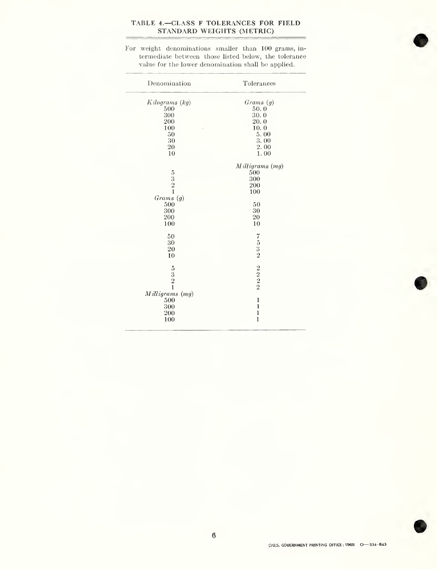

For weight denominations smaller than 100 grams, intermediate between those listed below, the tolerance value for the lower denomination shall be applied.

| Denomination                                  | Tolerances                                            |
|-----------------------------------------------|-------------------------------------------------------|
| Kilograms (kg)                                | Grams(g)                                              |
| 500                                           | 50.0                                                  |
| 300                                           | 30.0                                                  |
| 200                                           | 20.0                                                  |
| 100                                           | 10.0                                                  |
| 50                                            | 5.00                                                  |
| 30                                            | 3.00                                                  |
| 20                                            | 2.00                                                  |
| 10                                            | 1.00                                                  |
|                                               | Milligrams (mg)                                       |
|                                               | 500                                                   |
| $\begin{smallmatrix}5\3\2\1\end{smallmatrix}$ | 300                                                   |
|                                               | 200                                                   |
|                                               | 100                                                   |
| Grams(g)                                      |                                                       |
| 500                                           | 50                                                    |
| 300                                           | 30                                                    |
| 200                                           | $^{20}$                                               |
| 100                                           | 10                                                    |
|                                               |                                                       |
| 50                                            |                                                       |
| 30                                            |                                                       |
| $^{20}$                                       |                                                       |
| 10                                            | $\begin{smallmatrix} 7 & 5 \ 3 & 2 \end{smallmatrix}$ |
|                                               | $\begin{smallmatrix}2\2\2\2\end{smallmatrix}$         |
|                                               |                                                       |
|                                               |                                                       |
| $\begin{smallmatrix}5\3\2\1\end{smallmatrix}$ |                                                       |
| Milligrams (mg)                               |                                                       |
| 500                                           | 1                                                     |
| 300                                           | $\mathbf{1}$                                          |
| 200                                           | $\mathbf{1}$                                          |
| 100                                           | $\mathbf{1}$                                          |
|                                               |                                                       |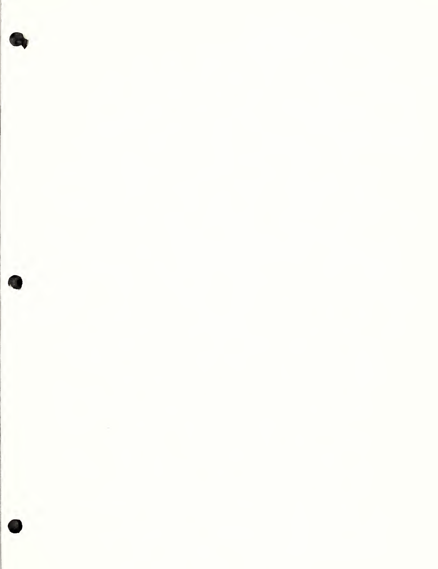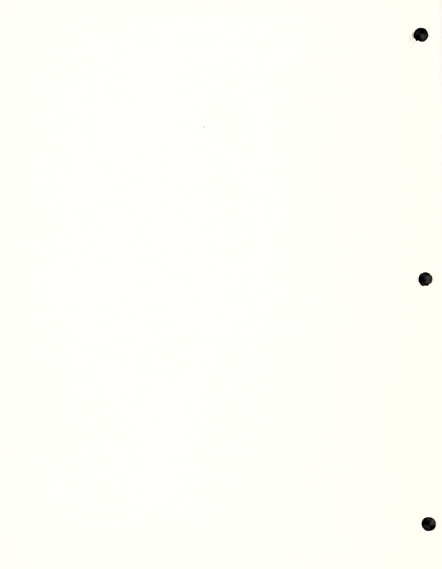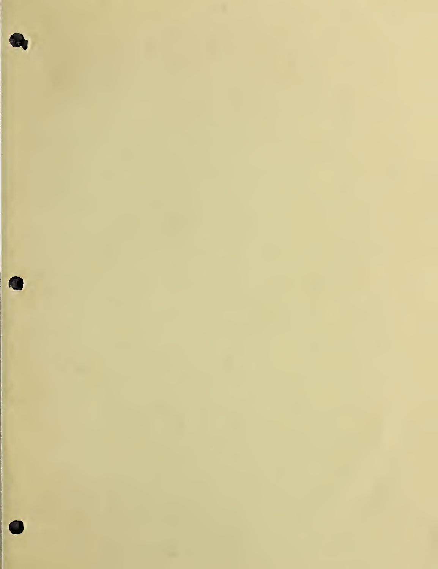